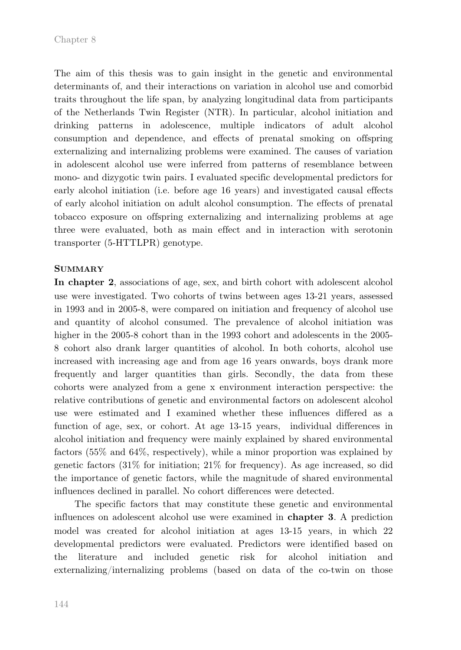The aim of this thesis was to gain insight in the genetic and environmental determinants of, and their interactions on variation in alcohol use and comorbid traits throughout the life span, by analyzing longitudinal data from participants of the Netherlands Twin Register (NTR). In particular, alcohol initiation and drinking patterns in adolescence, multiple indicators of adult alcohol consumption and dependence, and effects of prenatal smoking on offspring externalizing and internalizing problems were examined. The causes of variation in adolescent alcohol use were inferred from patterns of resemblance between mono- and dizygotic twin pairs. I evaluated specific developmental predictors for early alcohol initiation (i.e. before age 16 years) and investigated causal effects of early alcohol initiation on adult alcohol consumption. The effects of prenatal tobacco exposure on offspring externalizing and internalizing problems at age three were evaluated, both as main effect and in interaction with serotonin transporter (5-HTTLPR) genotype.

## **SUMMARY**

**In chapter 2**, associations of age, sex, and birth cohort with adolescent alcohol use were investigated. Two cohorts of twins between ages 13-21 years, assessed in 1993 and in 2005-8, were compared on initiation and frequency of alcohol use and quantity of alcohol consumed. The prevalence of alcohol initiation was higher in the 2005-8 cohort than in the 1993 cohort and adolescents in the 2005- 8 cohort also drank larger quantities of alcohol. In both cohorts, alcohol use increased with increasing age and from age 16 years onwards, boys drank more frequently and larger quantities than girls. Secondly, the data from these cohorts were analyzed from a gene x environment interaction perspective: the relative contributions of genetic and environmental factors on adolescent alcohol use were estimated and I examined whether these influences differed as a function of age, sex, or cohort. At age 13-15 years, individual differences in alcohol initiation and frequency were mainly explained by shared environmental factors (55% and 64%, respectively), while a minor proportion was explained by genetic factors (31% for initiation; 21% for frequency). As age increased, so did the importance of genetic factors, while the magnitude of shared environmental influences declined in parallel. No cohort differences were detected.

The specific factors that may constitute these genetic and environmental influences on adolescent alcohol use were examined in **chapter 3**. A prediction model was created for alcohol initiation at ages 13-15 years, in which 22 developmental predictors were evaluated. Predictors were identified based on the literature and included genetic risk for alcohol initiation and externalizing/internalizing problems (based on data of the co-twin on those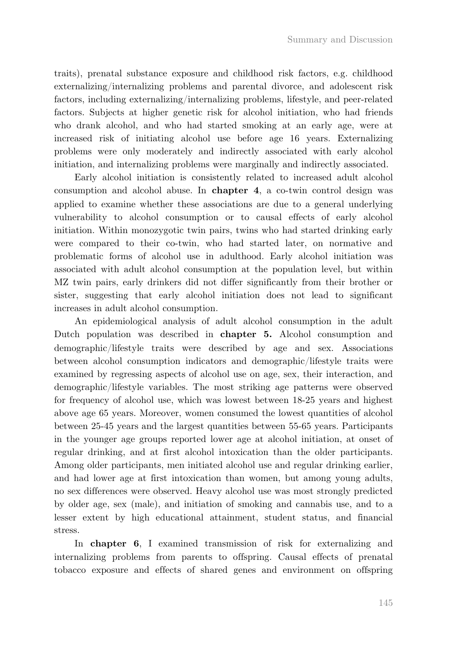traits), prenatal substance exposure and childhood risk factors, e.g. childhood externalizing/internalizing problems and parental divorce, and adolescent risk factors, including externalizing/internalizing problems, lifestyle, and peer-related factors. Subjects at higher genetic risk for alcohol initiation, who had friends who drank alcohol, and who had started smoking at an early age, were at increased risk of initiating alcohol use before age 16 years. Externalizing problems were only moderately and indirectly associated with early alcohol initiation, and internalizing problems were marginally and indirectly associated.

Early alcohol initiation is consistently related to increased adult alcohol consumption and alcohol abuse. In **chapter 4**, a co-twin control design was applied to examine whether these associations are due to a general underlying vulnerability to alcohol consumption or to causal effects of early alcohol initiation. Within monozygotic twin pairs, twins who had started drinking early were compared to their co-twin, who had started later, on normative and problematic forms of alcohol use in adulthood. Early alcohol initiation was associated with adult alcohol consumption at the population level, but within MZ twin pairs, early drinkers did not differ significantly from their brother or sister, suggesting that early alcohol initiation does not lead to significant increases in adult alcohol consumption.

An epidemiological analysis of adult alcohol consumption in the adult Dutch population was described in **chapter 5.** Alcohol consumption and demographic/lifestyle traits were described by age and sex. Associations between alcohol consumption indicators and demographic/lifestyle traits were examined by regressing aspects of alcohol use on age, sex, their interaction, and demographic/lifestyle variables. The most striking age patterns were observed for frequency of alcohol use, which was lowest between 18-25 years and highest above age 65 years. Moreover, women consumed the lowest quantities of alcohol between 25-45 years and the largest quantities between 55-65 years. Participants in the younger age groups reported lower age at alcohol initiation, at onset of regular drinking, and at first alcohol intoxication than the older participants. Among older participants, men initiated alcohol use and regular drinking earlier, and had lower age at first intoxication than women, but among young adults, no sex differences were observed. Heavy alcohol use was most strongly predicted by older age, sex (male), and initiation of smoking and cannabis use, and to a lesser extent by high educational attainment, student status, and financial stress.

In **chapter 6**, I examined transmission of risk for externalizing and internalizing problems from parents to offspring. Causal effects of prenatal tobacco exposure and effects of shared genes and environment on offspring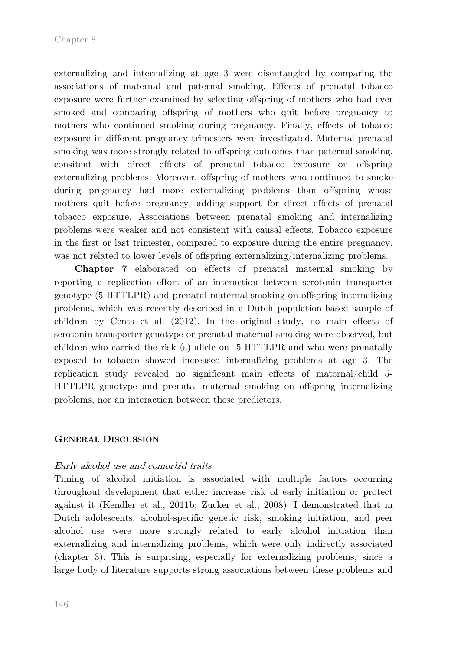externalizing and internalizing at age 3 were disentangled by comparing the associations of maternal and paternal smoking. Effects of prenatal tobacco exposure were further examined by selecting offspring of mothers who had ever smoked and comparing offspring of mothers who quit before pregnancy to mothers who continued smoking during pregnancy. Finally, effects of tobacco exposure in different pregnancy trimesters were investigated. Maternal prenatal smoking was more strongly related to offspring outcomes than paternal smoking, consitent with direct effects of prenatal tobacco exposure on offspring externalizing problems. Moreover, offspring of mothers who continued to smoke during pregnancy had more externalizing problems than offspring whose mothers quit before pregnancy, adding support for direct effects of prenatal tobacco exposure. Associations between prenatal smoking and internalizing problems were weaker and not consistent with causal effects. Tobacco exposure in the first or last trimester, compared to exposure during the entire pregnancy, was not related to lower levels of offspring externalizing/internalizing problems.

**Chapter 7** elaborated on effects of prenatal maternal smoking by reporting a replication effort of an interaction between serotonin transporter genotype (5-HTTLPR) and prenatal maternal smoking on offspring internalizing problems, which was recently described in a Dutch population-based sample of children by Cents et al. (2012). In the original study, no main effects of serotonin transporter genotype or prenatal maternal smoking were observed, but children who carried the risk (s) allele on 5-HTTLPR and who were prenatally exposed to tobacco showed increased internalizing problems at age 3. The replication study revealed no significant main effects of maternal/child 5- HTTLPR genotype and prenatal maternal smoking on offspring internalizing problems, nor an interaction between these predictors.

## **GENERAL DISCUSSION**

## Early alcohol use and comorbid traits

Timing of alcohol initiation is associated with multiple factors occurring throughout development that either increase risk of early initiation or protect against it (Kendler et al., 2011b; Zucker et al., 2008). I demonstrated that in Dutch adolescents, alcohol-specific genetic risk, smoking initiation, and peer alcohol use were more strongly related to early alcohol initiation than externalizing and internalizing problems, which were only indirectly associated (chapter 3). This is surprising, especially for externalizing problems, since a large body of literature supports strong associations between these problems and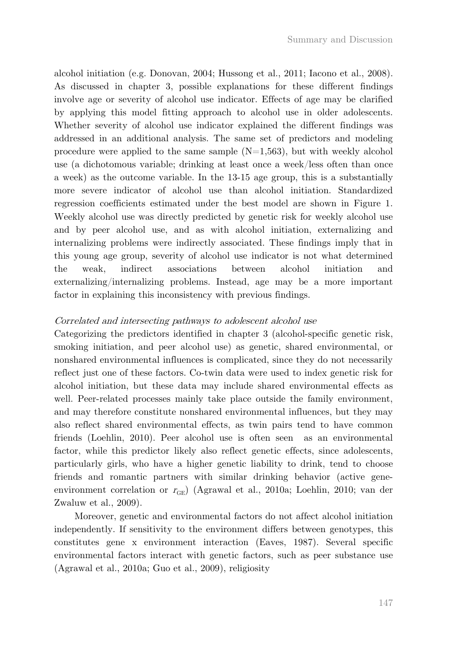alcohol initiation (e.g. Donovan, 2004; Hussong et al., 2011; Iacono et al., 2008). As discussed in chapter 3, possible explanations for these different findings involve age or severity of alcohol use indicator. Effects of age may be clarified by applying this model fitting approach to alcohol use in older adolescents. Whether severity of alcohol use indicator explained the different findings was addressed in an additional analysis. The same set of predictors and modeling procedure were applied to the same sample  $(N=1.563)$ , but with weekly alcohol use (a dichotomous variable; drinking at least once a week/less often than once a week) as the outcome variable. In the 13-15 age group, this is a substantially more severe indicator of alcohol use than alcohol initiation. Standardized regression coefficients estimated under the best model are shown in Figure 1. Weekly alcohol use was directly predicted by genetic risk for weekly alcohol use and by peer alcohol use, and as with alcohol initiation, externalizing and internalizing problems were indirectly associated. These findings imply that in this young age group, severity of alcohol use indicator is not what determined the weak, indirect associations between alcohol initiation and externalizing/internalizing problems. Instead, age may be a more important factor in explaining this inconsistency with previous findings.

## Correlated and intersecting pathways to adolescent alcohol use

Categorizing the predictors identified in chapter 3 (alcohol-specific genetic risk, smoking initiation, and peer alcohol use) as genetic, shared environmental, or nonshared environmental influences is complicated, since they do not necessarily reflect just one of these factors. Co-twin data were used to index genetic risk for alcohol initiation, but these data may include shared environmental effects as well. Peer-related processes mainly take place outside the family environment, and may therefore constitute nonshared environmental influences, but they may also reflect shared environmental effects, as twin pairs tend to have common friends (Loehlin, 2010). Peer alcohol use is often seen as an environmental factor, while this predictor likely also reflect genetic effects, since adolescents, particularly girls, who have a higher genetic liability to drink, tend to choose friends and romantic partners with similar drinking behavior (active geneenvironment correlation or  $r_{\text{GE}}$ ) (Agrawal et al., 2010a; Loehlin, 2010; van der Zwaluw et al., 2009).

Moreover, genetic and environmental factors do not affect alcohol initiation independently. If sensitivity to the environment differs between genotypes, this constitutes gene x environment interaction (Eaves, 1987). Several specific environmental factors interact with genetic factors, such as peer substance use (Agrawal et al., 2010a; Guo et al., 2009), religiosity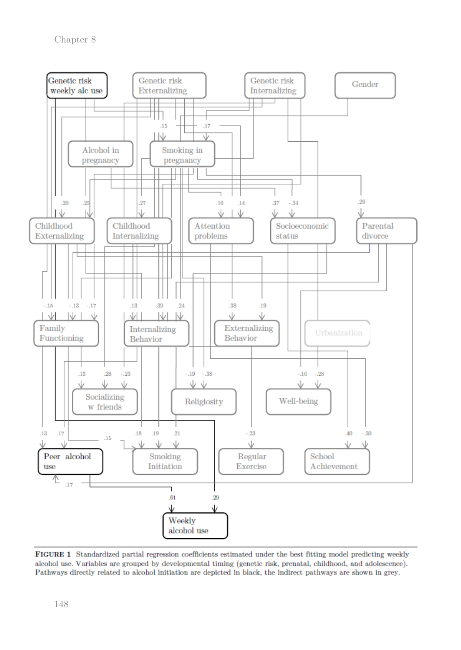

FIGURE 1 Standardized partial regression coefficients estimated under the best fitting model predicting weekly alcohol use. Variables are grouped by developmental timing (genetic risk, prenatal, childhood, and adolescence). Pathways directly related to alcohol initiation are depicted in black, the indirect pathways are shown in grey.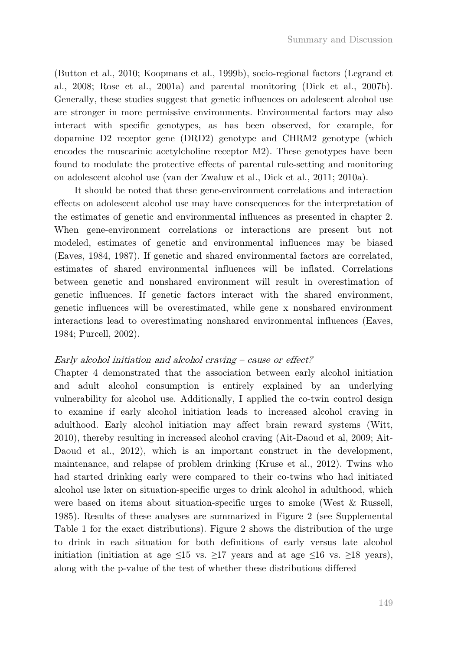(Button et al., 2010; Koopmans et al., 1999b), socio-regional factors (Legrand et al., 2008; Rose et al., 2001a) and parental monitoring (Dick et al., 2007b). Generally, these studies suggest that genetic influences on adolescent alcohol use are stronger in more permissive environments. Environmental factors may also interact with specific genotypes, as has been observed, for example, for dopamine D2 receptor gene (DRD2) genotype and CHRM2 genotype (which encodes the muscarinic acetylcholine receptor M2). These genotypes have been found to modulate the protective effects of parental rule-setting and monitoring on adolescent alcohol use (van der Zwaluw et al., Dick et al., 2011; 2010a).

It should be noted that these gene-environment correlations and interaction effects on adolescent alcohol use may have consequences for the interpretation of the estimates of genetic and environmental influences as presented in chapter 2. When gene-environment correlations or interactions are present but not modeled, estimates of genetic and environmental influences may be biased (Eaves, 1984, 1987). If genetic and shared environmental factors are correlated, estimates of shared environmental influences will be inflated. Correlations between genetic and nonshared environment will result in overestimation of genetic influences. If genetic factors interact with the shared environment, genetic influences will be overestimated, while gene x nonshared environment interactions lead to overestimating nonshared environmental influences (Eaves, 1984; Purcell, 2002).

## Early alcohol initiation and alcohol craving – cause or effect?

Chapter 4 demonstrated that the association between early alcohol initiation and adult alcohol consumption is entirely explained by an underlying vulnerability for alcohol use. Additionally, I applied the co-twin control design to examine if early alcohol initiation leads to increased alcohol craving in adulthood. Early alcohol initiation may affect brain reward systems (Witt, 2010), thereby resulting in increased alcohol craving (Ait-Daoud et al, 2009; Ait-Daoud et al., 2012), which is an important construct in the development, maintenance, and relapse of problem drinking (Kruse et al., 2012). Twins who had started drinking early were compared to their co-twins who had initiated alcohol use later on situation-specific urges to drink alcohol in adulthood, which were based on items about situation-specific urges to smoke (West & Russell, 1985). Results of these analyses are summarized in Figure 2 (see Supplemental Table 1 for the exact distributions). Figure 2 shows the distribution of the urge to drink in each situation for both definitions of early versus late alcohol initiation (initiation at age  $\leq 15$  vs.  $\geq 17$  years and at age  $\leq 16$  vs.  $\geq 18$  years), along with the p-value of the test of whether these distributions differed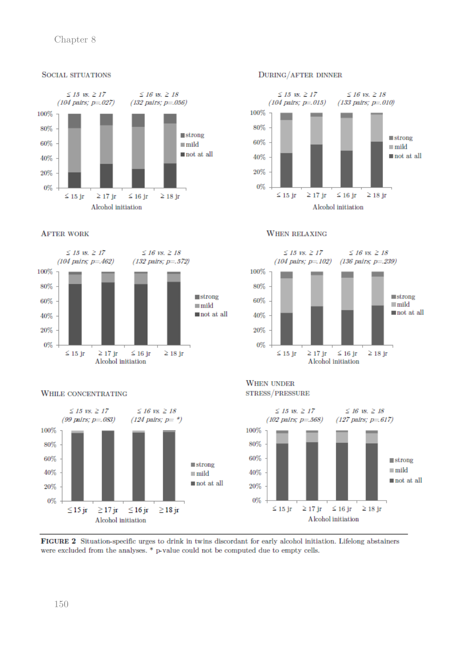## Chapter 8







## WHILE CONCENTRATING



#### DURING/AFTER DINNER



#### **WHEN RELAXING**



#### **WHEN UNDER** STRESS/PRESSURE



FIGURE 2 Situation-specific urges to drink in twins discordant for early alcohol initiation. Lifelong abstainers were excluded from the analyses. \* p-value could not be computed due to empty cells.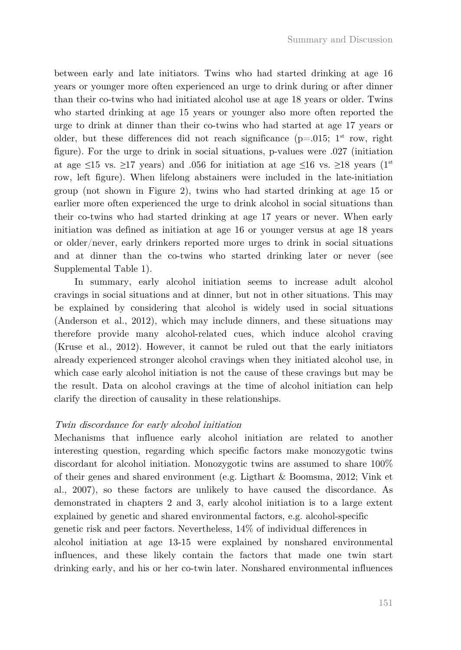between early and late initiators. Twins who had started drinking at age 16 years or younger more often experienced an urge to drink during or after dinner than their co-twins who had initiated alcohol use at age 18 years or older. Twins who started drinking at age 15 years or younger also more often reported the urge to drink at dinner than their co-twins who had started at age 17 years or older, but these differences did not reach significance  $(p=0.015; 1^{st}$  row, right figure). For the urge to drink in social situations, p-values were .027 (initiation at age  $\leq 15$  vs.  $\geq 17$  years) and .056 for initiation at age  $\leq 16$  vs.  $\geq 18$  years (1<sup>st</sup>) row, left figure). When lifelong abstainers were included in the late-initiation group (not shown in Figure 2), twins who had started drinking at age 15 or earlier more often experienced the urge to drink alcohol in social situations than their co-twins who had started drinking at age 17 years or never. When early initiation was defined as initiation at age 16 or younger versus at age 18 years or older/never, early drinkers reported more urges to drink in social situations and at dinner than the co-twins who started drinking later or never (see Supplemental Table 1).

In summary, early alcohol initiation seems to increase adult alcohol cravings in social situations and at dinner, but not in other situations. This may be explained by considering that alcohol is widely used in social situations (Anderson et al., 2012), which may include dinners, and these situations may therefore provide many alcohol-related cues, which induce alcohol craving (Kruse et al., 2012). However, it cannot be ruled out that the early initiators already experienced stronger alcohol cravings when they initiated alcohol use, in which case early alcohol initiation is not the cause of these cravings but may be the result. Data on alcohol cravings at the time of alcohol initiation can help clarify the direction of causality in these relationships.

## Twin discordance for early alcohol initiation

Mechanisms that influence early alcohol initiation are related to another interesting question, regarding which specific factors make monozygotic twins discordant for alcohol initiation. Monozygotic twins are assumed to share 100% of their genes and shared environment (e.g. Ligthart & Boomsma, 2012; Vink et al., 2007), so these factors are unlikely to have caused the discordance. As demonstrated in chapters 2 and 3, early alcohol initiation is to a large extent explained by genetic and shared environmental factors, e.g. alcohol-specific genetic risk and peer factors. Nevertheless, 14% of individual differences in alcohol initiation at age 13-15 were explained by nonshared environmental influences, and these likely contain the factors that made one twin start drinking early, and his or her co-twin later. Nonshared environmental influences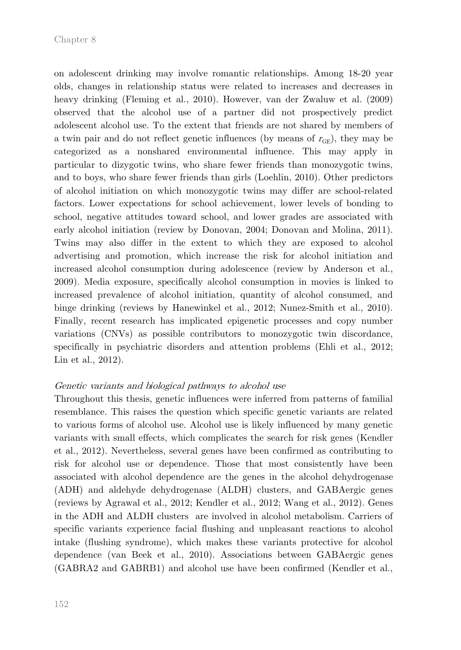on adolescent drinking may involve romantic relationships. Among 18-20 year olds, changes in relationship status were related to increases and decreases in heavy drinking (Fleming et al., 2010). However, van der Zwaluw et al. (2009) observed that the alcohol use of a partner did not prospectively predict adolescent alcohol use. To the extent that friends are not shared by members of a twin pair and do not reflect genetic influences (by means of  $r_{GE}$ ), they may be categorized as a nonshared environmental influence. This may apply in particular to dizygotic twins, who share fewer friends than monozygotic twins, and to boys, who share fewer friends than girls (Loehlin, 2010). Other predictors of alcohol initiation on which monozygotic twins may differ are school-related factors. Lower expectations for school achievement, lower levels of bonding to school, negative attitudes toward school, and lower grades are associated with early alcohol initiation (review by Donovan, 2004; Donovan and Molina, 2011). Twins may also differ in the extent to which they are exposed to alcohol advertising and promotion, which increase the risk for alcohol initiation and increased alcohol consumption during adolescence (review by Anderson et al., 2009). Media exposure, specifically alcohol consumption in movies is linked to increased prevalence of alcohol initiation, quantity of alcohol consumed, and binge drinking (reviews by Hanewinkel et al., 2012; Nunez-Smith et al., 2010). Finally, recent research has implicated epigenetic processes and copy number variations (CNVs) as possible contributors to monozygotic twin discordance, specifically in psychiatric disorders and attention problems (Ehli et al., 2012; Lin et al., 2012).

## Genetic variants and biological pathways to alcohol use

Throughout this thesis, genetic influences were inferred from patterns of familial resemblance. This raises the question which specific genetic variants are related to various forms of alcohol use. Alcohol use is likely influenced by many genetic variants with small effects, which complicates the search for risk genes (Kendler et al., 2012). Nevertheless, several genes have been confirmed as contributing to risk for alcohol use or dependence. Those that most consistently have been associated with alcohol dependence are the genes in the alcohol dehydrogenase (ADH) and aldehyde dehydrogenase (ALDH) clusters, and GABAergic genes (reviews by Agrawal et al., 2012; Kendler et al., 2012; Wang et al., 2012). Genes in the ADH and ALDH clusters are involved in alcohol metabolism. Carriers of specific variants experience facial flushing and unpleasant reactions to alcohol intake (flushing syndrome), which makes these variants protective for alcohol dependence (van Beek et al., 2010). Associations between GABAergic genes (GABRA2 and GABRB1) and alcohol use have been confirmed (Kendler et al.,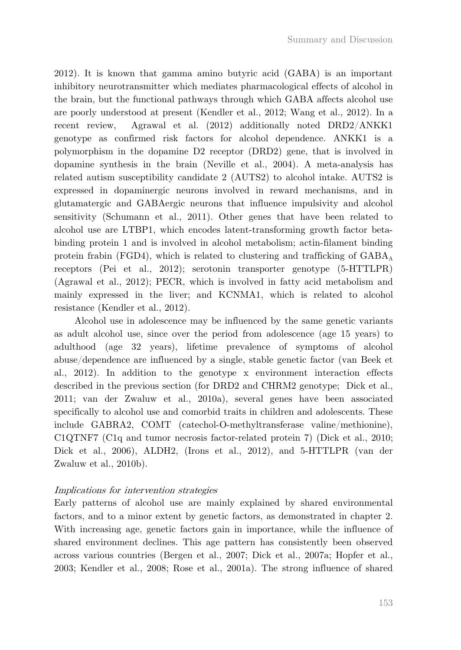2012). It is known that gamma amino butyric acid (GABA) is an important inhibitory neurotransmitter which mediates pharmacological effects of alcohol in the brain, but the functional pathways through which GABA affects alcohol use are poorly understood at present (Kendler et al., 2012; Wang et al., 2012). In a recent review, Agrawal et al. (2012) additionally noted DRD2/ANKK1 genotype as confirmed risk factors for alcohol dependence. ANKK1 is a polymorphism in the dopamine D2 receptor (DRD2) gene, that is involved in dopamine synthesis in the brain (Neville et al., 2004). A meta-analysis has related autism susceptibility candidate 2 (AUTS2) to alcohol intake. AUTS2 is expressed in dopaminergic neurons involved in reward mechanisms, and in glutamatergic and GABAergic neurons that influence impulsivity and alcohol sensitivity (Schumann et al., 2011). Other genes that have been related to alcohol use are LTBP1, which encodes latent-transforming growth factor betabinding protein 1 and is involved in alcohol metabolism; actin-filament binding protein frabin (FGD4), which is related to clustering and trafficking of  $GABA_A$ receptors (Pei et al., 2012); serotonin transporter genotype (5-HTTLPR) (Agrawal et al., 2012); PECR, which is involved in fatty acid metabolism and mainly expressed in the liver; and KCNMA1, which is related to alcohol resistance (Kendler et al., 2012).

Alcohol use in adolescence may be influenced by the same genetic variants as adult alcohol use, since over the period from adolescence (age 15 years) to adulthood (age 32 years), lifetime prevalence of symptoms of alcohol abuse/dependence are influenced by a single, stable genetic factor (van Beek et al., 2012). In addition to the genotype x environment interaction effects described in the previous section (for DRD2 and CHRM2 genotype; Dick et al., 2011; van der Zwaluw et al., 2010a), several genes have been associated specifically to alcohol use and comorbid traits in children and adolescents. These include GABRA2, COMT (catechol-O-methyltransferase valine/methionine), C1QTNF7 (C1q and tumor necrosis factor-related protein 7) (Dick et al., 2010; Dick et al., 2006), ALDH2, (Irons et al., 2012), and 5-HTTLPR (van der Zwaluw et al., 2010b).

## Implications for intervention strategies

Early patterns of alcohol use are mainly explained by shared environmental factors, and to a minor extent by genetic factors, as demonstrated in chapter 2. With increasing age, genetic factors gain in importance, while the influence of shared environment declines. This age pattern has consistently been observed across various countries (Bergen et al., 2007; Dick et al., 2007a; Hopfer et al., 2003; Kendler et al., 2008; Rose et al., 2001a). The strong influence of shared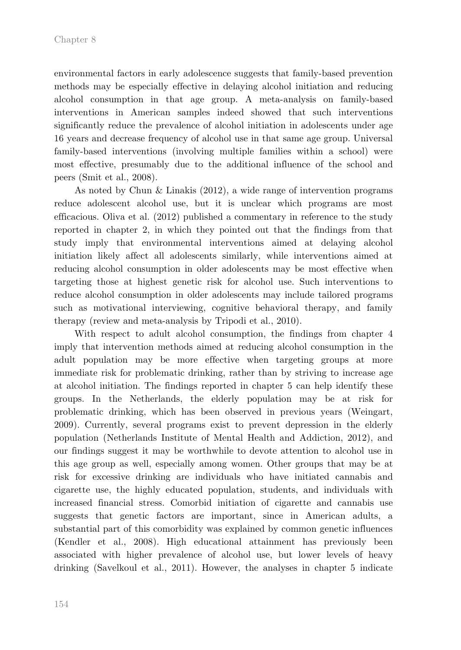environmental factors in early adolescence suggests that family-based prevention methods may be especially effective in delaying alcohol initiation and reducing alcohol consumption in that age group. A meta-analysis on family-based interventions in American samples indeed showed that such interventions significantly reduce the prevalence of alcohol initiation in adolescents under age 16 years and decrease frequency of alcohol use in that same age group. Universal family-based interventions (involving multiple families within a school) were most effective, presumably due to the additional influence of the school and peers (Smit et al., 2008).

As noted by Chun & Linakis (2012), a wide range of intervention programs reduce adolescent alcohol use, but it is unclear which programs are most efficacious. Oliva et al. (2012) published a commentary in reference to the study reported in chapter 2, in which they pointed out that the findings from that study imply that environmental interventions aimed at delaying alcohol initiation likely affect all adolescents similarly, while interventions aimed at reducing alcohol consumption in older adolescents may be most effective when targeting those at highest genetic risk for alcohol use. Such interventions to reduce alcohol consumption in older adolescents may include tailored programs such as motivational interviewing, cognitive behavioral therapy, and family therapy (review and meta-analysis by Tripodi et al., 2010).

With respect to adult alcohol consumption, the findings from chapter 4 imply that intervention methods aimed at reducing alcohol consumption in the adult population may be more effective when targeting groups at more immediate risk for problematic drinking, rather than by striving to increase age at alcohol initiation. The findings reported in chapter 5 can help identify these groups. In the Netherlands, the elderly population may be at risk for problematic drinking, which has been observed in previous years (Weingart, 2009). Currently, several programs exist to prevent depression in the elderly population (Netherlands Institute of Mental Health and Addiction, 2012), and our findings suggest it may be worthwhile to devote attention to alcohol use in this age group as well, especially among women. Other groups that may be at risk for excessive drinking are individuals who have initiated cannabis and cigarette use, the highly educated population, students, and individuals with increased financial stress. Comorbid initiation of cigarette and cannabis use suggests that genetic factors are important, since in American adults, a substantial part of this comorbidity was explained by common genetic influences (Kendler et al., 2008). High educational attainment has previously been associated with higher prevalence of alcohol use, but lower levels of heavy drinking (Savelkoul et al., 2011). However, the analyses in chapter 5 indicate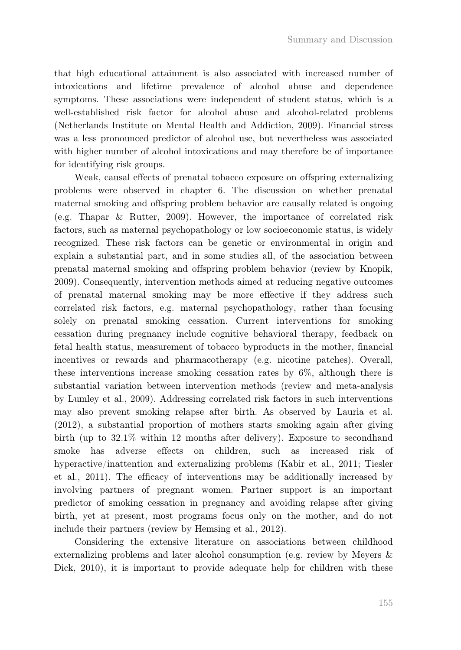that high educational attainment is also associated with increased number of intoxications and lifetime prevalence of alcohol abuse and dependence symptoms. These associations were independent of student status, which is a well-established risk factor for alcohol abuse and alcohol-related problems (Netherlands Institute on Mental Health and Addiction, 2009). Financial stress was a less pronounced predictor of alcohol use, but nevertheless was associated with higher number of alcohol intoxications and may therefore be of importance for identifying risk groups.

Weak, causal effects of prenatal tobacco exposure on offspring externalizing problems were observed in chapter 6. The discussion on whether prenatal maternal smoking and offspring problem behavior are causally related is ongoing (e.g. Thapar & Rutter, 2009). However, the importance of correlated risk factors, such as maternal psychopathology or low socioeconomic status, is widely recognized. These risk factors can be genetic or environmental in origin and explain a substantial part, and in some studies all, of the association between prenatal maternal smoking and offspring problem behavior (review by Knopik, 2009). Consequently, intervention methods aimed at reducing negative outcomes of prenatal maternal smoking may be more effective if they address such correlated risk factors, e.g. maternal psychopathology, rather than focusing solely on prenatal smoking cessation. Current interventions for smoking cessation during pregnancy include cognitive behavioral therapy, feedback on fetal health status, measurement of tobacco byproducts in the mother, financial incentives or rewards and pharmacotherapy (e.g. nicotine patches). Overall, these interventions increase smoking cessation rates by 6%, although there is substantial variation between intervention methods (review and meta-analysis by Lumley et al., 2009). Addressing correlated risk factors in such interventions may also prevent smoking relapse after birth. As observed by Lauria et al. (2012), a substantial proportion of mothers starts smoking again after giving birth (up to 32.1% within 12 months after delivery). Exposure to secondhand smoke has adverse effects on children, such as increased risk of hyperactive/inattention and externalizing problems (Kabir et al., 2011; Tiesler et al., 2011). The efficacy of interventions may be additionally increased by involving partners of pregnant women. Partner support is an important predictor of smoking cessation in pregnancy and avoiding relapse after giving birth, yet at present, most programs focus only on the mother, and do not include their partners (review by Hemsing et al., 2012).

Considering the extensive literature on associations between childhood externalizing problems and later alcohol consumption (e.g. review by Meyers & Dick, 2010), it is important to provide adequate help for children with these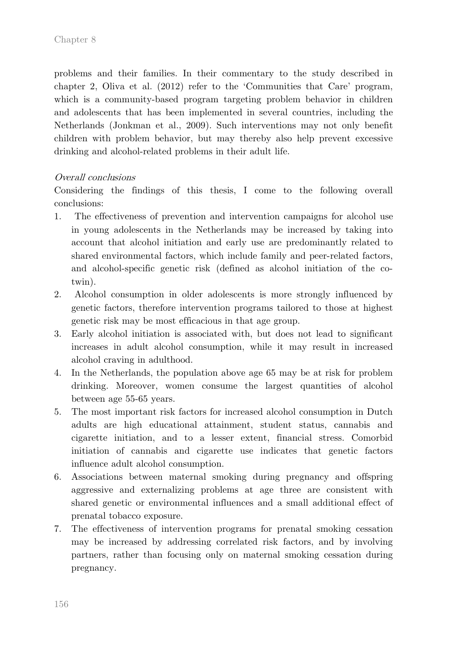problems and their families. In their commentary to the study described in chapter 2, Oliva et al. (2012) refer to the 'Communities that Care' program, which is a community-based program targeting problem behavior in children and adolescents that has been implemented in several countries, including the Netherlands (Jonkman et al., 2009). Such interventions may not only benefit children with problem behavior, but may thereby also help prevent excessive drinking and alcohol-related problems in their adult life.

## Overall conclusions

Considering the findings of this thesis, I come to the following overall conclusions:

- 1. The effectiveness of prevention and intervention campaigns for alcohol use in young adolescents in the Netherlands may be increased by taking into account that alcohol initiation and early use are predominantly related to shared environmental factors, which include family and peer-related factors, and alcohol-specific genetic risk (defined as alcohol initiation of the cotwin).
- 2. Alcohol consumption in older adolescents is more strongly influenced by genetic factors, therefore intervention programs tailored to those at highest genetic risk may be most efficacious in that age group.
- 3. Early alcohol initiation is associated with, but does not lead to significant increases in adult alcohol consumption, while it may result in increased alcohol craving in adulthood.
- 4. In the Netherlands, the population above age 65 may be at risk for problem drinking. Moreover, women consume the largest quantities of alcohol between age 55-65 years.
- 5. The most important risk factors for increased alcohol consumption in Dutch adults are high educational attainment, student status, cannabis and cigarette initiation, and to a lesser extent, financial stress. Comorbid initiation of cannabis and cigarette use indicates that genetic factors influence adult alcohol consumption.
- 6. Associations between maternal smoking during pregnancy and offspring aggressive and externalizing problems at age three are consistent with shared genetic or environmental influences and a small additional effect of prenatal tobacco exposure.
- 7. The effectiveness of intervention programs for prenatal smoking cessation may be increased by addressing correlated risk factors, and by involving partners, rather than focusing only on maternal smoking cessation during pregnancy.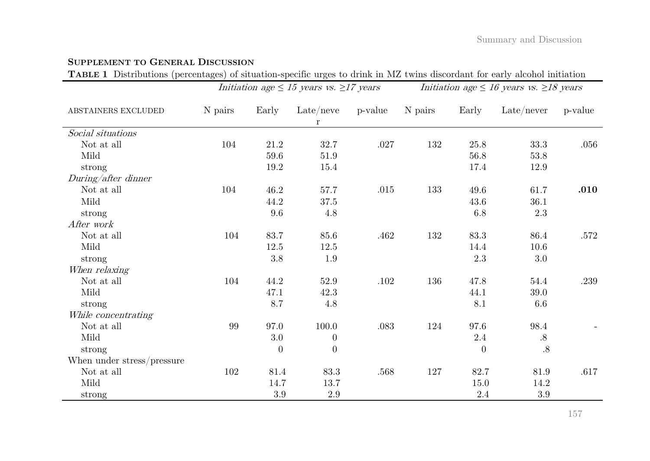## **SUPPLEMENT TO GENERAL DISCUSSION**

**TABLE 1** Distributions (percentages) of situation-specific urges to drink in MZ twins discordant for early alcohol initiation

|                            | Initiation age $\leq 15$ years vs. $\geq 17$ years |          |                                |          | Initiation age $\leq 16$ years vs. $\geq 18$ years |          |                            |         |  |
|----------------------------|----------------------------------------------------|----------|--------------------------------|----------|----------------------------------------------------|----------|----------------------------|---------|--|
| ABSTAINERS EXCLUDED        | N pairs                                            | Early    | $\text{Late}/\text{neve}$<br>r | p-value  | N pairs                                            | Early    | $\text{Late}/\text{never}$ | p-value |  |
| Social situations          |                                                    |          |                                |          |                                                    |          |                            |         |  |
| Not at all                 | 104                                                | 21.2     | 32.7                           | $.027\,$ | 132                                                | 25.8     | 33.3                       | .056    |  |
| Mild                       |                                                    | 59.6     | 51.9                           |          |                                                    | $56.8\,$ | 53.8                       |         |  |
| strong                     |                                                    | 19.2     | 15.4                           |          |                                                    | 17.4     | 12.9                       |         |  |
| During/after dinner        |                                                    |          |                                |          |                                                    |          |                            |         |  |
| Not at all                 | 104                                                | 46.2     | 57.7                           | .015     | 133                                                | 49.6     | 61.7                       | .010    |  |
| Mild                       |                                                    | 44.2     | 37.5                           |          |                                                    | 43.6     | $36.1\,$                   |         |  |
| strong                     |                                                    | $9.6\,$  | 4.8                            |          |                                                    | 6.8      | $2.3\,$                    |         |  |
| After work                 |                                                    |          |                                |          |                                                    |          |                            |         |  |
| Not at all                 | 104                                                | 83.7     | 85.6                           | .462     | 132                                                | 83.3     | 86.4                       | .572    |  |
| Mild                       |                                                    | 12.5     | 12.5                           |          |                                                    | 14.4     | 10.6                       |         |  |
| strong                     |                                                    | $3.8\,$  | 1.9                            |          |                                                    | 2.3      | $3.0\,$                    |         |  |
| When relaxing              |                                                    |          |                                |          |                                                    |          |                            |         |  |
| Not at all                 | 104                                                | 44.2     | 52.9                           | .102     | 136                                                | 47.8     | 54.4                       | .239    |  |
| Mild                       |                                                    | 47.1     | 42.3                           |          |                                                    | 44.1     | 39.0                       |         |  |
| strong                     |                                                    | 8.7      | 4.8                            |          |                                                    | $8.1\,$  | 6.6                        |         |  |
| While concentrating        |                                                    |          |                                |          |                                                    |          |                            |         |  |
| Not at all                 | 99                                                 | 97.0     | 100.0                          | $.083\,$ | 124                                                | 97.6     | 98.4                       |         |  |
| Mild                       |                                                    | $3.0\,$  | $\overline{0}$                 |          |                                                    | $2.4\,$  | $.8\,$                     |         |  |
| strong                     |                                                    | $\Omega$ | $\Omega$                       |          |                                                    | $\theta$ | .8                         |         |  |
| When under stress/pressure |                                                    |          |                                |          |                                                    |          |                            |         |  |
| Not at all                 | 102                                                | 81.4     | 83.3                           | .568     | 127                                                | 82.7     | 81.9                       | .617    |  |
| Mild                       |                                                    | 14.7     | 13.7                           |          |                                                    | 15.0     | 14.2                       |         |  |
| strong                     |                                                    | $3.9\,$  | $2.9\,$                        |          |                                                    | $2.4\,$  | $3.9\,$                    |         |  |